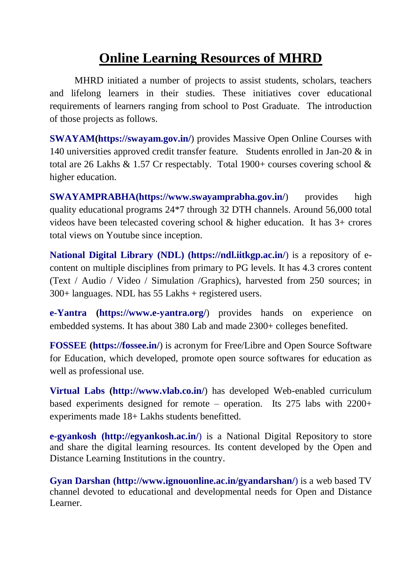## **Online Learning Resources of MHRD**

MHRD initiated a number of projects to assist students, scholars, teachers and lifelong learners in their studies. These initiatives cover educational requirements of learners ranging from school to Post Graduate. The introduction of those projects as follows.

**[SWAYAM\(](https://swayam.gov.in/#_blank)<https://swayam.gov.in/>**) provides Massive Open Online Courses with 140 universities approved credit transfer feature. Students enrolled in Jan-20 & in total are 26 Lakhs  $\&$  1.57 Cr respectably. Total 1900+ courses covering school  $\&$ higher education.

**[SWAYAMPRABHA\(](https://www.swayamprabha.gov.in/#_blank)<https://www.swayamprabha.gov.in/>)** provides high quality educational programs 24\*7 through 32 DTH channels. Around 56,000 total videos have been telecasted covering school & higher education. It has 3+ crores total views on Youtube since inception.

**[National Digital Library](https://ndl.iitkgp.ac.in/#_blank) (NDL) [\(https://ndl.iitkgp.ac.in/](https://ndl.iitkgp.ac.in/)**) is a repository of econtent on multiple disciplines from primary to PG levels. It has 4.3 crores content (Text / Audio / Video / Simulation /Graphics), harvested from 250 sources; in 300+ languages. NDL has 55 Lakhs + registered users.

**[e-Yantra](https://www.e-yantra.org/#_blank) [\(https://www.e-yantra.org/](https://www.e-yantra.org/)**) provides hands on experience on embedded systems. It has about 380 Lab and made 2300+ colleges benefited.

**[FOSSEE](https://fossee.in/#_blank) [\(https://fossee.in/](https://fossee.in/)**) is acronym for Free/Libre and Open Source Software for Education, which developed, promote open source softwares for education as well as professional use.

**[Virtual Labs](http://www.vlab.co.in/#_blank) [\(http://www.vlab.co.in/](http://www.vlab.co.in/)**) has developed Web-enabled curriculum based experiments designed for remote – operation. Its 275 labs with 2200+ experiments made 18+ Lakhs students benefitted.

**[e-gyankosh](http://egyankosh.ac.in/) (http://egyankosh.ac.in/**) is a National Digital Repository to store and share the digital learning resources. Its content developed by the Open and Distance Learning Institutions in the country.

**Gyan Darshan [\(http://www.ignouonline.ac.in/gyandarshan/](http://www.ignouonline.ac.in/gyandarshan/)**) is a web based TV channel devoted to educational and developmental needs for Open and Distance Learner.